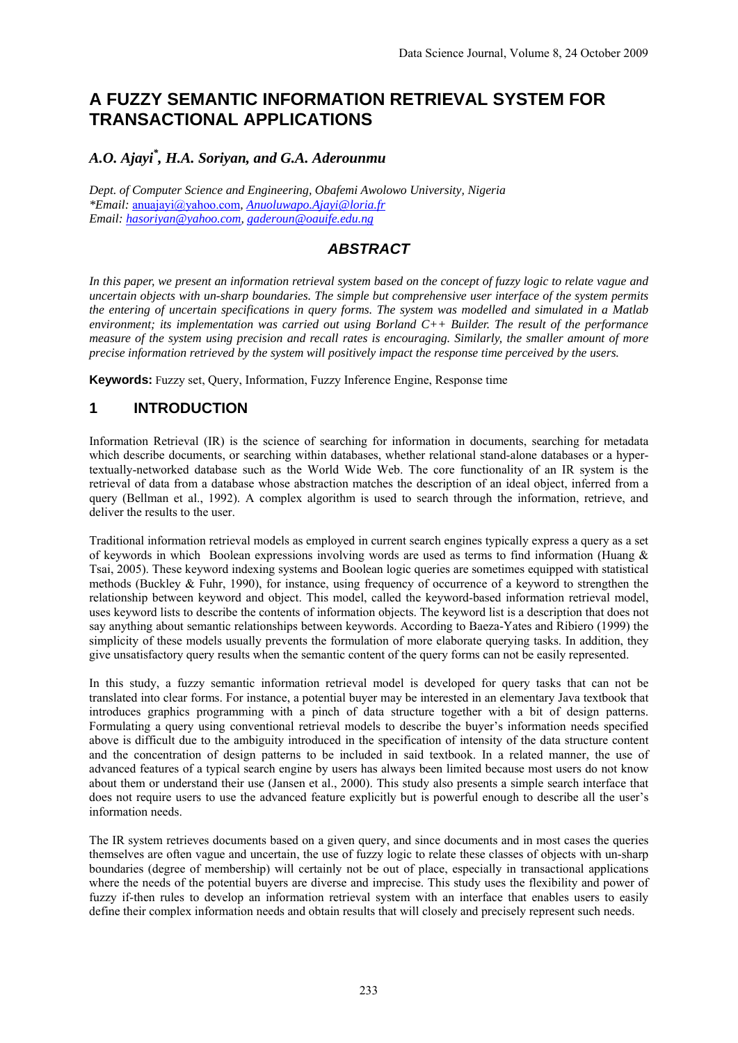# **A FUZZY SEMANTIC INFORMATION RETRIEVAL SYSTEM FOR TRANSACTIONAL APPLICATIONS**

# *A.O. Ajayi\* , H.A. Soriyan, and G.A. Aderounmu*

*Dept. of Computer Science and Engineering, Obafemi Awolowo University, Nigeria \*Email:* anuajayi@yahoo.com*, Anuoluwapo.Ajayi@loria.fr Email: hasoriyan@yahoo.com, gaderoun@oauife.edu.ng*

# *ABSTRACT*

*In this paper, we present an information retrieval system based on the concept of fuzzy logic to relate vague and uncertain objects with un-sharp boundaries. The simple but comprehensive user interface of the system permits the entering of uncertain specifications in query forms. The system was modelled and simulated in a Matlab environment; its implementation was carried out using Borland C++ Builder. The result of the performance measure of the system using precision and recall rates is encouraging. Similarly, the smaller amount of more precise information retrieved by the system will positively impact the response time perceived by the users.* 

**Keywords:** Fuzzy set, Query, Information, Fuzzy Inference Engine, Response time

# **1 INTRODUCTION**

Information Retrieval (IR) is the science of searching for information in documents, searching for metadata which describe documents, or searching within databases, whether relational stand-alone databases or a hypertextually-networked database such as the World Wide Web. The core functionality of an IR system is the retrieval of data from a database whose abstraction matches the description of an ideal object, inferred from a query (Bellman et al., 1992). A complex algorithm is used to search through the information, retrieve, and deliver the results to the user.

Traditional information retrieval models as employed in current search engines typically express a query as a set of keywords in which Boolean expressions involving words are used as terms to find information (Huang & Tsai, 2005). These keyword indexing systems and Boolean logic queries are sometimes equipped with statistical methods (Buckley & Fuhr, 1990), for instance, using frequency of occurrence of a keyword to strengthen the relationship between keyword and object. This model, called the keyword-based information retrieval model, uses keyword lists to describe the contents of information objects. The keyword list is a description that does not say anything about semantic relationships between keywords. According to Baeza-Yates and Ribiero (1999) the simplicity of these models usually prevents the formulation of more elaborate querying tasks. In addition, they give unsatisfactory query results when the semantic content of the query forms can not be easily represented.

In this study, a fuzzy semantic information retrieval model is developed for query tasks that can not be translated into clear forms. For instance, a potential buyer may be interested in an elementary Java textbook that introduces graphics programming with a pinch of data structure together with a bit of design patterns. Formulating a query using conventional retrieval models to describe the buyer's information needs specified above is difficult due to the ambiguity introduced in the specification of intensity of the data structure content and the concentration of design patterns to be included in said textbook. In a related manner, the use of advanced features of a typical search engine by users has always been limited because most users do not know about them or understand their use (Jansen et al., 2000). This study also presents a simple search interface that does not require users to use the advanced feature explicitly but is powerful enough to describe all the user's information needs.

The IR system retrieves documents based on a given query, and since documents and in most cases the queries themselves are often vague and uncertain, the use of fuzzy logic to relate these classes of objects with un-sharp boundaries (degree of membership) will certainly not be out of place, especially in transactional applications where the needs of the potential buyers are diverse and imprecise. This study uses the flexibility and power of fuzzy if-then rules to develop an information retrieval system with an interface that enables users to easily define their complex information needs and obtain results that will closely and precisely represent such needs.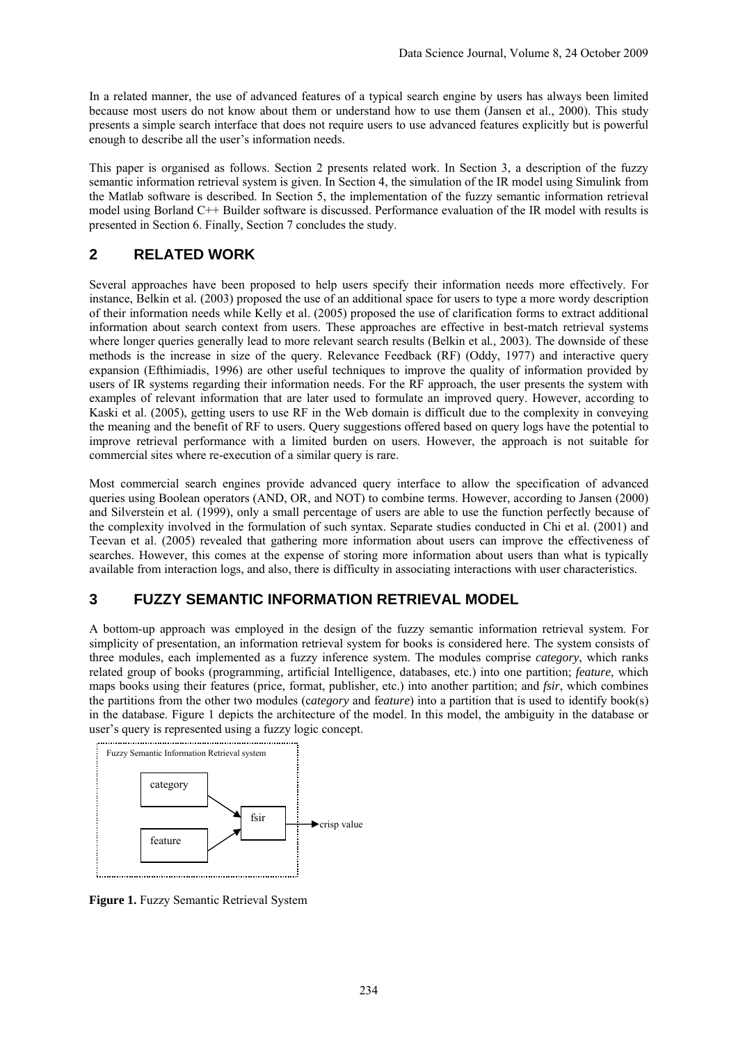In a related manner, the use of advanced features of a typical search engine by users has always been limited because most users do not know about them or understand how to use them (Jansen et al., 2000). This study presents a simple search interface that does not require users to use advanced features explicitly but is powerful enough to describe all the user's information needs.

This paper is organised as follows. Section 2 presents related work. In Section 3, a description of the fuzzy semantic information retrieval system is given. In Section 4, the simulation of the IR model using Simulink from the Matlab software is described. In Section 5, the implementation of the fuzzy semantic information retrieval model using Borland C++ Builder software is discussed. Performance evaluation of the IR model with results is presented in Section 6. Finally, Section 7 concludes the study.

# **2 RELATED WORK**

Several approaches have been proposed to help users specify their information needs more effectively. For instance, Belkin et al*.* (2003) proposed the use of an additional space for users to type a more wordy description of their information needs while Kelly et al. (2005) proposed the use of clarification forms to extract additional information about search context from users. These approaches are effective in best-match retrieval systems where longer queries generally lead to more relevant search results (Belkin et al*.,* 2003). The downside of these methods is the increase in size of the query. Relevance Feedback (RF) (Oddy, 1977) and interactive query expansion (Efthimiadis, 1996) are other useful techniques to improve the quality of information provided by users of IR systems regarding their information needs. For the RF approach, the user presents the system with examples of relevant information that are later used to formulate an improved query. However, according to Kaski et al. (2005), getting users to use RF in the Web domain is difficult due to the complexity in conveying the meaning and the benefit of RF to users. Query suggestions offered based on query logs have the potential to improve retrieval performance with a limited burden on users. However, the approach is not suitable for commercial sites where re-execution of a similar query is rare.

Most commercial search engines provide advanced query interface to allow the specification of advanced queries using Boolean operators (AND, OR, and NOT) to combine terms. However, according to Jansen (2000) and Silverstein et al. (1999), only a small percentage of users are able to use the function perfectly because of the complexity involved in the formulation of such syntax. Separate studies conducted in Chi et al. (2001) and Teevan et al. (2005) revealed that gathering more information about users can improve the effectiveness of searches. However, this comes at the expense of storing more information about users than what is typically available from interaction logs, and also, there is difficulty in associating interactions with user characteristics.

### **3 FUZZY SEMANTIC INFORMATION RETRIEVAL MODEL**

A bottom-up approach was employed in the design of the fuzzy semantic information retrieval system. For simplicity of presentation, an information retrieval system for books is considered here. The system consists of three modules, each implemented as a fuzzy inference system. The modules comprise *category*, which ranks related group of books (programming, artificial Intelligence, databases, etc.) into one partition; *feature,* which maps books using their features (price, format, publisher, etc.) into another partition; and *fsir*, which combines the partitions from the other two modules (c*ategory* and f*eature*) into a partition that is used to identify book(s) in the database. Figure 1 depicts the architecture of the model. In this model, the ambiguity in the database or user's query is represented using a fuzzy logic concept.



**Figure 1.** Fuzzy Semantic Retrieval System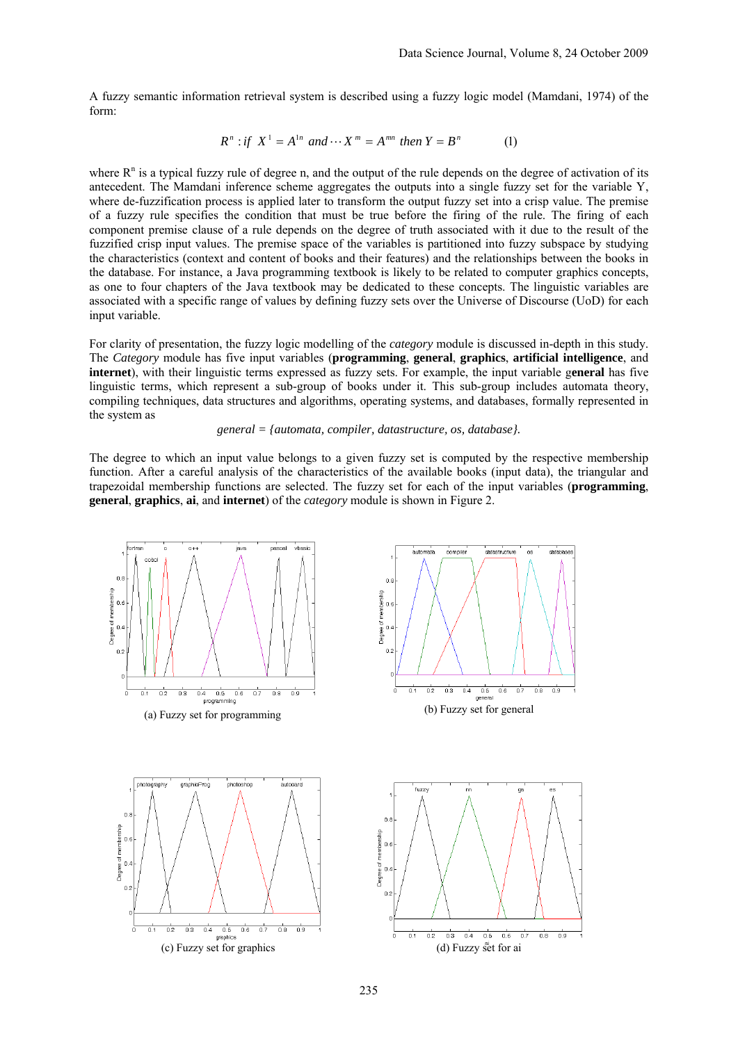A fuzzy semantic information retrieval system is described using a fuzzy logic model (Mamdani, 1974) of the form:

$$
R^n: \text{if } X^1 = A^{1n} \text{ and } \cdots X^m = A^{mn} \text{ then } Y = B^n \tag{1}
$$

where  $R<sup>n</sup>$  is a typical fuzzy rule of degree n, and the output of the rule depends on the degree of activation of its antecedent. The Mamdani inference scheme aggregates the outputs into a single fuzzy set for the variable Y, where de-fuzzification process is applied later to transform the output fuzzy set into a crisp value. The premise of a fuzzy rule specifies the condition that must be true before the firing of the rule. The firing of each component premise clause of a rule depends on the degree of truth associated with it due to the result of the fuzzified crisp input values. The premise space of the variables is partitioned into fuzzy subspace by studying the characteristics (context and content of books and their features) and the relationships between the books in the database. For instance, a Java programming textbook is likely to be related to computer graphics concepts, as one to four chapters of the Java textbook may be dedicated to these concepts. The linguistic variables are associated with a specific range of values by defining fuzzy sets over the Universe of Discourse (UoD) for each input variable.

For clarity of presentation, the fuzzy logic modelling of the *category* module is discussed in-depth in this study. The *Category* module has five input variables (**programming**, **general**, **graphics**, **artificial intelligence**, and **internet**), with their linguistic terms expressed as fuzzy sets. For example, the input variable g**eneral** has five linguistic terms, which represent a sub-group of books under it. This sub-group includes automata theory, compiling techniques, data structures and algorithms, operating systems, and databases, formally represented in the system as

#### *general = {automata, compiler, datastructure, os, database}.*

The degree to which an input value belongs to a given fuzzy set is computed by the respective membership function. After a careful analysis of the characteristics of the available books (input data), the triangular and trapezoidal membership functions are selected. The fuzzy set for each of the input variables (**programming**, **general**, **graphics**, **ai**, and **internet**) of the *category* module is shown in Figure 2.

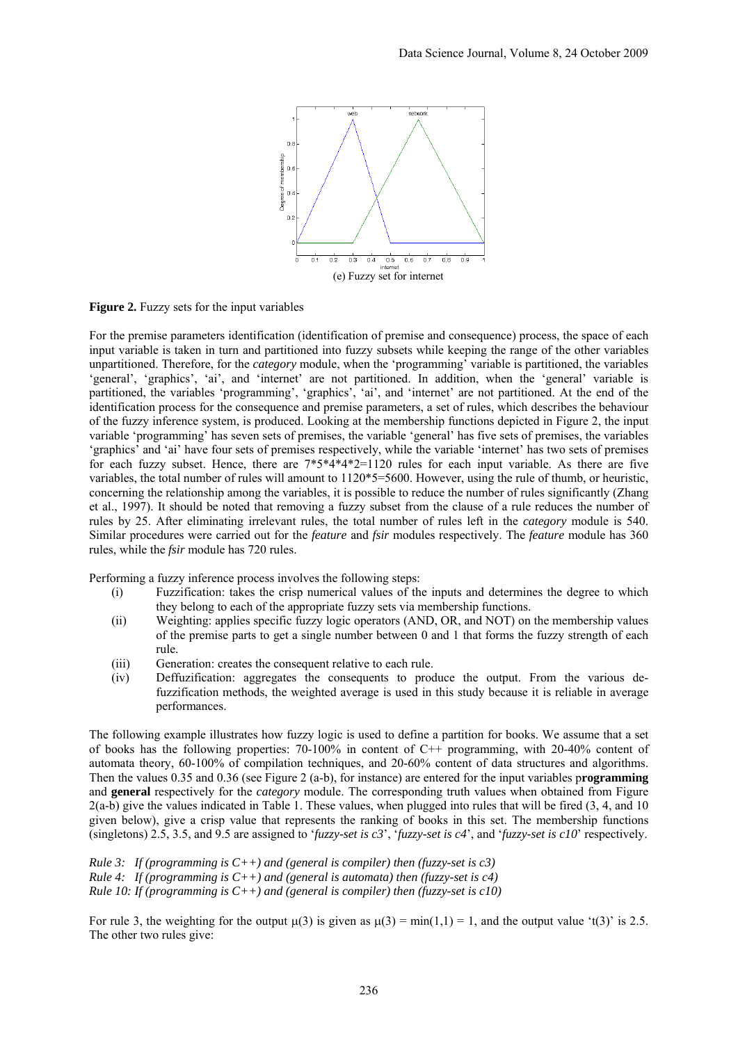

**Figure 2.** Fuzzy sets for the input variables

For the premise parameters identification (identification of premise and consequence) process, the space of each input variable is taken in turn and partitioned into fuzzy subsets while keeping the range of the other variables unpartitioned. Therefore, for the *category* module, when the 'programming' variable is partitioned, the variables 'general', 'graphics', 'ai', and 'internet' are not partitioned. In addition, when the 'general' variable is partitioned, the variables 'programming', 'graphics', 'ai', and 'internet' are not partitioned. At the end of the identification process for the consequence and premise parameters, a set of rules, which describes the behaviour of the fuzzy inference system, is produced. Looking at the membership functions depicted in Figure 2, the input variable 'programming' has seven sets of premises, the variable 'general' has five sets of premises, the variables 'graphics' and 'ai' have four sets of premises respectively, while the variable 'internet' has two sets of premises for each fuzzy subset. Hence, there are 7\*5\*4\*4\*2=1120 rules for each input variable. As there are five variables, the total number of rules will amount to 1120\*5=5600. However, using the rule of thumb, or heuristic, concerning the relationship among the variables, it is possible to reduce the number of rules significantly (Zhang et al., 1997). It should be noted that removing a fuzzy subset from the clause of a rule reduces the number of rules by 25. After eliminating irrelevant rules, the total number of rules left in the *category* module is 540. Similar procedures were carried out for the *feature* and *fsir* modules respectively. The *feature* module has 360 rules, while the *fsir* module has 720 rules.

Performing a fuzzy inference process involves the following steps:

- (i) Fuzzification: takes the crisp numerical values of the inputs and determines the degree to which they belong to each of the appropriate fuzzy sets via membership functions.
- (ii) Weighting: applies specific fuzzy logic operators (AND, OR, and NOT) on the membership values of the premise parts to get a single number between 0 and 1 that forms the fuzzy strength of each rule.
- (iii) Generation: creates the consequent relative to each rule.
- (iv) Deffuzification: aggregates the consequents to produce the output. From the various defuzzification methods, the weighted average is used in this study because it is reliable in average performances.

The following example illustrates how fuzzy logic is used to define a partition for books. We assume that a set of books has the following properties: 70-100% in content of C++ programming, with 20-40% content of automata theory, 60-100% of compilation techniques, and 20-60% content of data structures and algorithms. Then the values 0.35 and 0.36 (see Figure 2 (a-b), for instance) are entered for the input variables p**rogramming** and **general** respectively for the *category* module. The corresponding truth values when obtained from Figure 2(a-b) give the values indicated in Table 1. These values, when plugged into rules that will be fired (3, 4, and 10 given below), give a crisp value that represents the ranking of books in this set. The membership functions (singletons) 2.5, 3.5, and 9.5 are assigned to '*fuzzy-set is c3*', '*fuzzy-set is c4*', and '*fuzzy-set is c10*' respectively.

*Rule 3: If (programming is C++) and (general is compiler) then (fuzzy-set is c3) Rule 4: If (programming is C++) and (general is automata) then (fuzzy-set is c4) Rule 10: If (programming is C++) and (general is compiler) then (fuzzy-set is c10)* 

For rule 3, the weighting for the output  $\mu(3)$  is given as  $\mu(3) = \min(1,1) = 1$ , and the output value 't(3)' is 2.5. The other two rules give: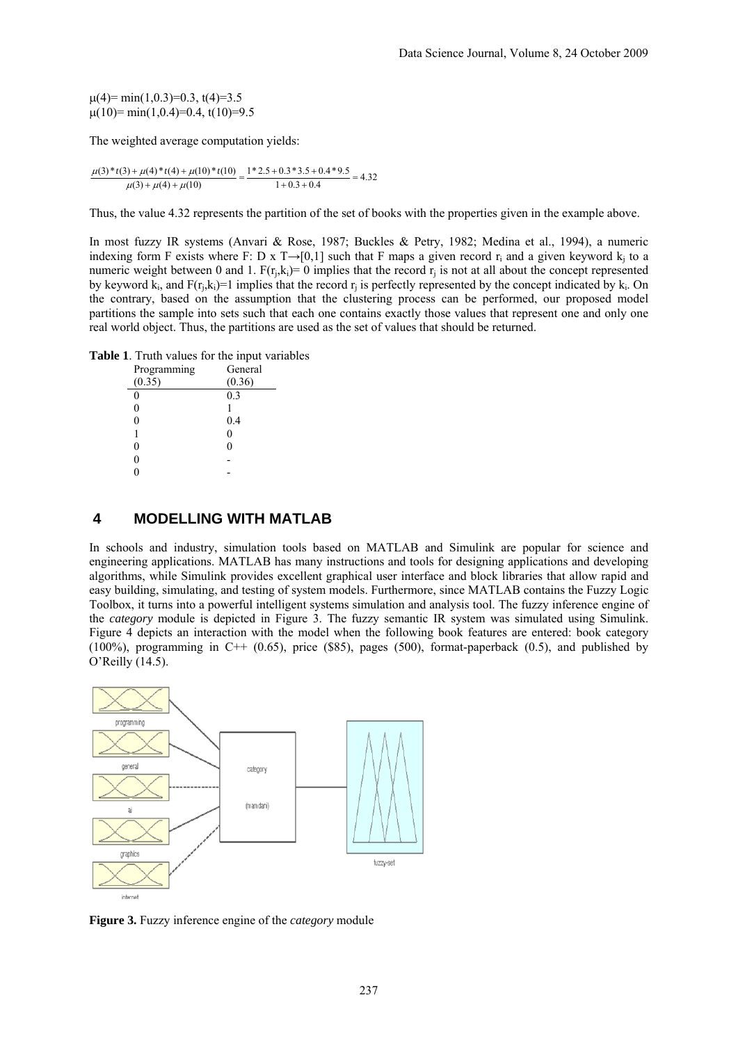$\mu$ (4)= min(1,0,3)=0,3, t(4)=3,5  $\mu(10)=$  min(1,0.4)=0.4, t(10)=9.5

The weighted average computation yields:

 $\frac{\mu(3)*t(3)+\mu(4)*t(4)+\mu(10)*t(10)}{\mu(3)+\mu(4)+\mu(10)} = \frac{1*2.5+0.3*3.5+0.4*9.5}{1+0.3+0.4} = 4.32$  $1 + 0.3 + 0.4$  $\mu(3) + \mu(4) + \mu(10)$ 

Thus, the value 4.32 represents the partition of the set of books with the properties given in the example above.

In most fuzzy IR systems (Anvari & Rose, 1987; Buckles & Petry, 1982; Medina et al., 1994), a numeric indexing form F exists where F: D x T→[0,1] such that F maps a given record r<sub>i</sub> and a given keyword k<sub>i</sub> to a numeric weight between 0 and 1.  $F(r_i,k_i)=0$  implies that the record  $r_i$  is not at all about the concept represented by keyword  $k_i$ , and  $F(r_i, k_i)=1$  implies that the record  $r_i$  is perfectly represented by the concept indicated by  $k_i$ . On the contrary, based on the assumption that the clustering process can be performed, our proposed model partitions the sample into sets such that each one contains exactly those values that represent one and only one real world object. Thus, the partitions are used as the set of values that should be returned.

**Table 1**. Truth values for the input variables

| Programming | General |
|-------------|---------|
| (0.35)      | (0.36)  |
| 0           | 0.3     |
| 0           |         |
| 0           | 0.4     |
| 1           | 0       |
| 0           | 0       |
| 0           |         |
|             |         |
|             |         |

### **4 MODELLING WITH MATLAB**

In schools and industry, simulation tools based on MATLAB and Simulink are popular for science and engineering applications. MATLAB has many instructions and tools for designing applications and developing algorithms, while Simulink provides excellent graphical user interface and block libraries that allow rapid and easy building, simulating, and testing of system models. Furthermore, since MATLAB contains the Fuzzy Logic Toolbox, it turns into a powerful intelligent systems simulation and analysis tool. The fuzzy inference engine of the *category* module is depicted in Figure 3. The fuzzy semantic IR system was simulated using Simulink. Figure 4 depicts an interaction with the model when the following book features are entered: book category  $(100\%)$ , programming in C++  $(0.65)$ , price (\$85), pages (500), format-paperback  $(0.5)$ , and published by O'Reilly (14.5).



**Figure 3.** Fuzzy inference engine of the *category* module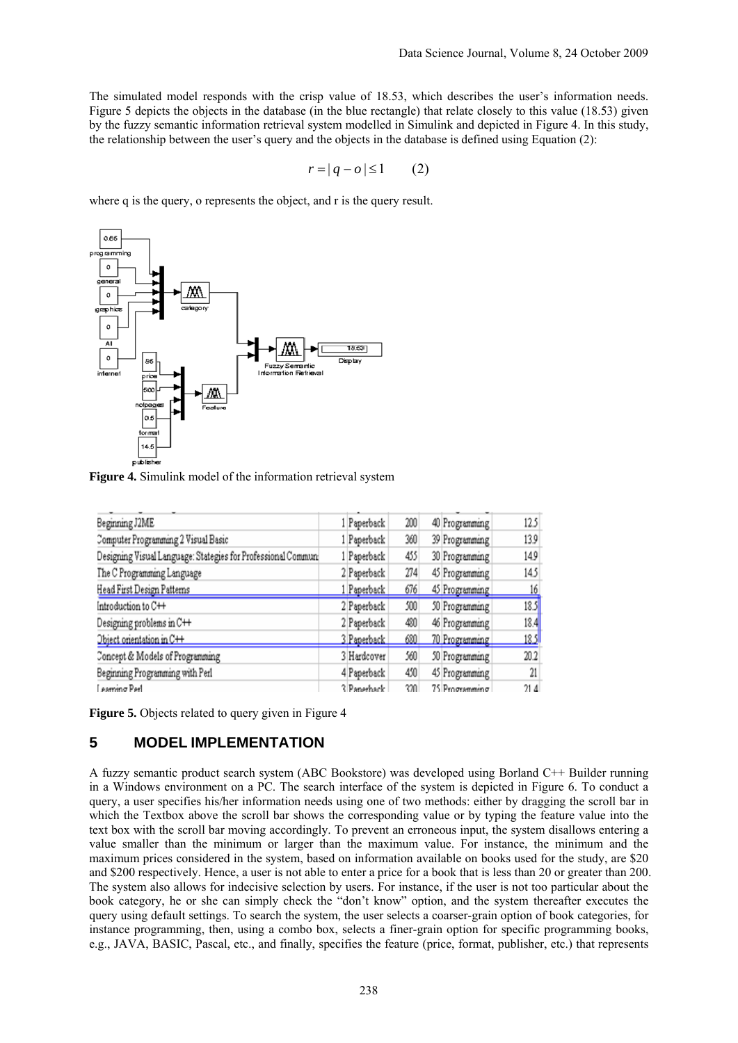The simulated model responds with the crisp value of 18.53, which describes the user's information needs. Figure 5 depicts the objects in the database (in the blue rectangle) that relate closely to this value (18.53) given by the fuzzy semantic information retrieval system modelled in Simulink and depicted in Figure 4. In this study, the relationship between the user's query and the objects in the database is defined using Equation (2):

$$
r = |q - o| \le 1 \qquad (2)
$$

where q is the query, o represents the object, and r is the query result.



**Figure 4.** Simulink model of the information retrieval system

| Beginning J2ME                                               | 1 Paperback | 200 | 40 Programming | 12.5           |
|--------------------------------------------------------------|-------------|-----|----------------|----------------|
| Computer Programming 2 Visual Basic                          | 1 Paperback | 360 | 39 Programming | 13.9           |
| Designing Visual Language: Stategies for Professional Commun | 1 Paperback | 455 | 30 Programming | 14.9           |
| The C Programming Language                                   | 2 Paperback | 274 | 45 Programming | 14.5           |
| Head First Design Patterns                                   | 1 Paperback | 676 | 45 Programming | <u>16</u>      |
| Introduction to C++                                          | 2 Paperback | 500 | 50 Programming | 18.5           |
| Designing problems in C++                                    | 2 Paperback | 480 | 46 Programming | 18.4           |
| Object orientation in C++                                    | 3 Paperback | 680 | 70 Programming | <u> 18.5</u> 1 |
| Concept & Models of Programming                              | 3 Hardcover | 560 | 50 Programming | 20.2           |
| Beginning Programming with Perl                              | 4 Paperback | 450 | 45 Programming | 21             |
| saming Parl                                                  | 3 Panethack | ?ንበ | 75 Programming | 21.4           |

**Figure 5.** Objects related to query given in Figure 4

### **5 MODEL IMPLEMENTATION**

A fuzzy semantic product search system (ABC Bookstore) was developed using Borland C++ Builder running in a Windows environment on a PC. The search interface of the system is depicted in Figure 6. To conduct a query, a user specifies his/her information needs using one of two methods: either by dragging the scroll bar in which the Textbox above the scroll bar shows the corresponding value or by typing the feature value into the text box with the scroll bar moving accordingly. To prevent an erroneous input, the system disallows entering a value smaller than the minimum or larger than the maximum value. For instance, the minimum and the maximum prices considered in the system, based on information available on books used for the study, are \$20 and \$200 respectively. Hence, a user is not able to enter a price for a book that is less than 20 or greater than 200. The system also allows for indecisive selection by users. For instance, if the user is not too particular about the book category, he or she can simply check the "don't know" option, and the system thereafter executes the query using default settings. To search the system, the user selects a coarser-grain option of book categories, for instance programming, then, using a combo box, selects a finer-grain option for specific programming books, e.g., JAVA, BASIC, Pascal, etc., and finally, specifies the feature (price, format, publisher, etc.) that represents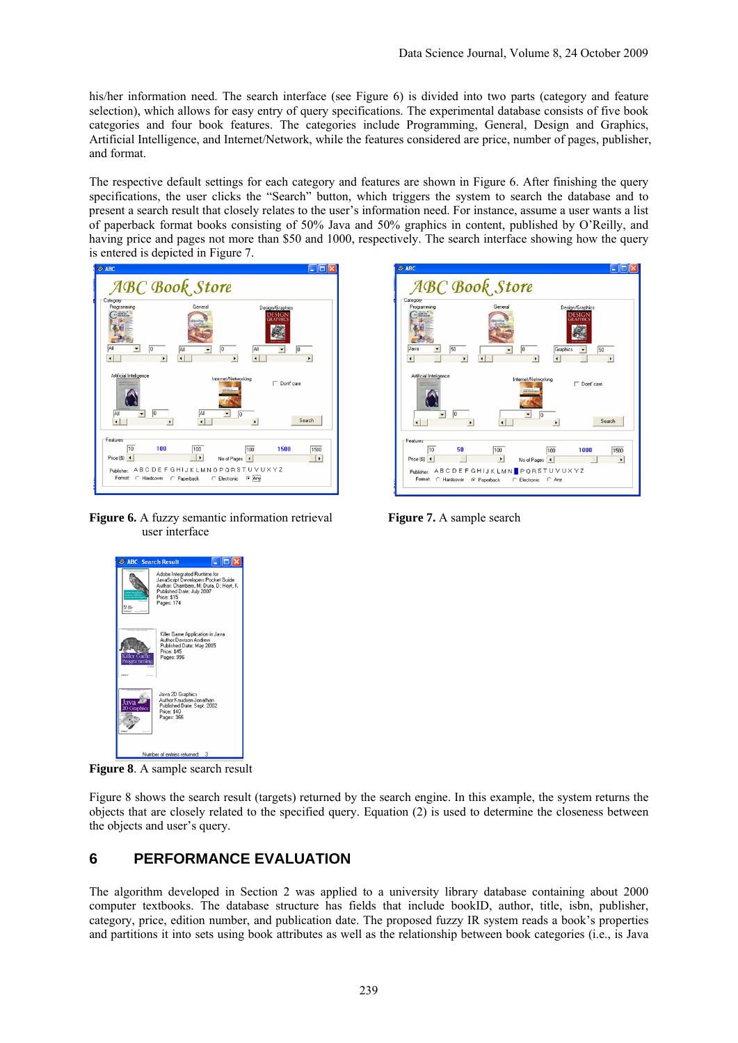his/her information need. The search interface (see Figure 6) is divided into two parts (category and feature selection), which allows for easy entry of query specifications. The experimental database consists of five book categories and four book features. The categories include Programming, General, Design and Graphics, Artificial Intelligence, and Internet/Network, while the features considered are price, number of pages, publisher, and format.

The respective default settings for each category and features are shown in Figure 6. After finishing the query specifications, the user clicks the "Search" button, which triggers the system to search the database and to present a search result that closely relates to the user's information need. For instance, assume a user wants a list of paperback format books consisting of 50% Java and 50% graphics in content, published by O'Reilly, and having price and pages not more than \$50 and 1000, respectively. The search interface showing how the query is entered is depicted in Figure 7.



**Figure 6.** A fuzzy semantic information retrieval **Figure 7.** A sample search user interface





**Figure 8**. A sample search result

Figure 8 shows the search result (targets) returned by the search engine. In this example, the system returns the objects that are closely related to the specified query. Equation (2) is used to determine the closeness between the objects and user's query.

### **6 PERFORMANCE EVALUATION**

The algorithm developed in Section 2 was applied to a university library database containing about 2000 computer textbooks. The database structure has fields that include bookID, author, title, isbn, publisher, category, price, edition number, and publication date. The proposed fuzzy IR system reads a book's properties and partitions it into sets using book attributes as well as the relationship between book categories (i.e., is Java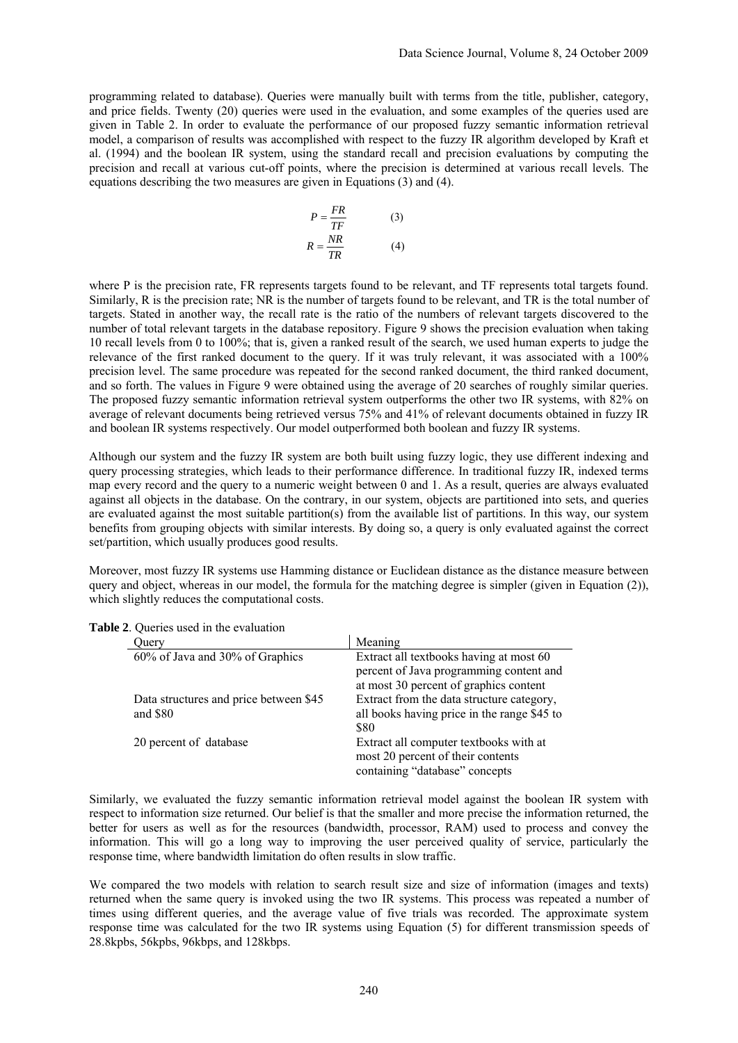programming related to database). Queries were manually built with terms from the title, publisher, category, and price fields. Twenty (20) queries were used in the evaluation, and some examples of the queries used are given in Table 2. In order to evaluate the performance of our proposed fuzzy semantic information retrieval model, a comparison of results was accomplished with respect to the fuzzy IR algorithm developed by Kraft et al. (1994) and the boolean IR system, using the standard recall and precision evaluations by computing the precision and recall at various cut-off points, where the precision is determined at various recall levels. The equations describing the two measures are given in Equations (3) and (4).

$$
P = \frac{FR}{TF}
$$
(3)  

$$
R = \frac{NR}{TR}
$$
(4)

where P is the precision rate, FR represents targets found to be relevant, and TF represents total targets found. Similarly, R is the precision rate; NR is the number of targets found to be relevant, and TR is the total number of targets. Stated in another way, the recall rate is the ratio of the numbers of relevant targets discovered to the number of total relevant targets in the database repository. Figure 9 shows the precision evaluation when taking 10 recall levels from 0 to 100%; that is, given a ranked result of the search, we used human experts to judge the relevance of the first ranked document to the query. If it was truly relevant, it was associated with a 100% precision level. The same procedure was repeated for the second ranked document, the third ranked document, and so forth. The values in Figure 9 were obtained using the average of 20 searches of roughly similar queries. The proposed fuzzy semantic information retrieval system outperforms the other two IR systems, with 82% on average of relevant documents being retrieved versus 75% and 41% of relevant documents obtained in fuzzy IR and boolean IR systems respectively. Our model outperformed both boolean and fuzzy IR systems.

Although our system and the fuzzy IR system are both built using fuzzy logic, they use different indexing and query processing strategies, which leads to their performance difference. In traditional fuzzy IR, indexed terms map every record and the query to a numeric weight between 0 and 1. As a result, queries are always evaluated against all objects in the database. On the contrary, in our system, objects are partitioned into sets, and queries are evaluated against the most suitable partition(s) from the available list of partitions. In this way, our system benefits from grouping objects with similar interests. By doing so, a query is only evaluated against the correct set/partition, which usually produces good results.

Moreover, most fuzzy IR systems use Hamming distance or Euclidean distance as the distance measure between query and object, whereas in our model, the formula for the matching degree is simpler (given in Equation (2)), which slightly reduces the computational costs.

| Juery                                  | Meaning                                     |  |  |  |  |
|----------------------------------------|---------------------------------------------|--|--|--|--|
| 60% of Java and 30% of Graphics        | Extract all textbooks having at most 60     |  |  |  |  |
|                                        | percent of Java programming content and     |  |  |  |  |
|                                        | at most 30 percent of graphics content      |  |  |  |  |
| Data structures and price between \$45 | Extract from the data structure category,   |  |  |  |  |
| and $$80$                              | all books having price in the range \$45 to |  |  |  |  |
|                                        | \$80                                        |  |  |  |  |
| 20 percent of database                 | Extract all computer textbooks with at      |  |  |  |  |
|                                        | most 20 percent of their contents           |  |  |  |  |
|                                        | containing "database" concepts              |  |  |  |  |

**Table 2**. Queries used in the evaluation

Similarly, we evaluated the fuzzy semantic information retrieval model against the boolean IR system with respect to information size returned. Our belief is that the smaller and more precise the information returned, the better for users as well as for the resources (bandwidth, processor, RAM) used to process and convey the information. This will go a long way to improving the user perceived quality of service, particularly the response time, where bandwidth limitation do often results in slow traffic.

We compared the two models with relation to search result size and size of information (images and texts) returned when the same query is invoked using the two IR systems. This process was repeated a number of times using different queries, and the average value of five trials was recorded. The approximate system response time was calculated for the two IR systems using Equation (5) for different transmission speeds of 28.8kpbs, 56kpbs, 96kbps, and 128kbps.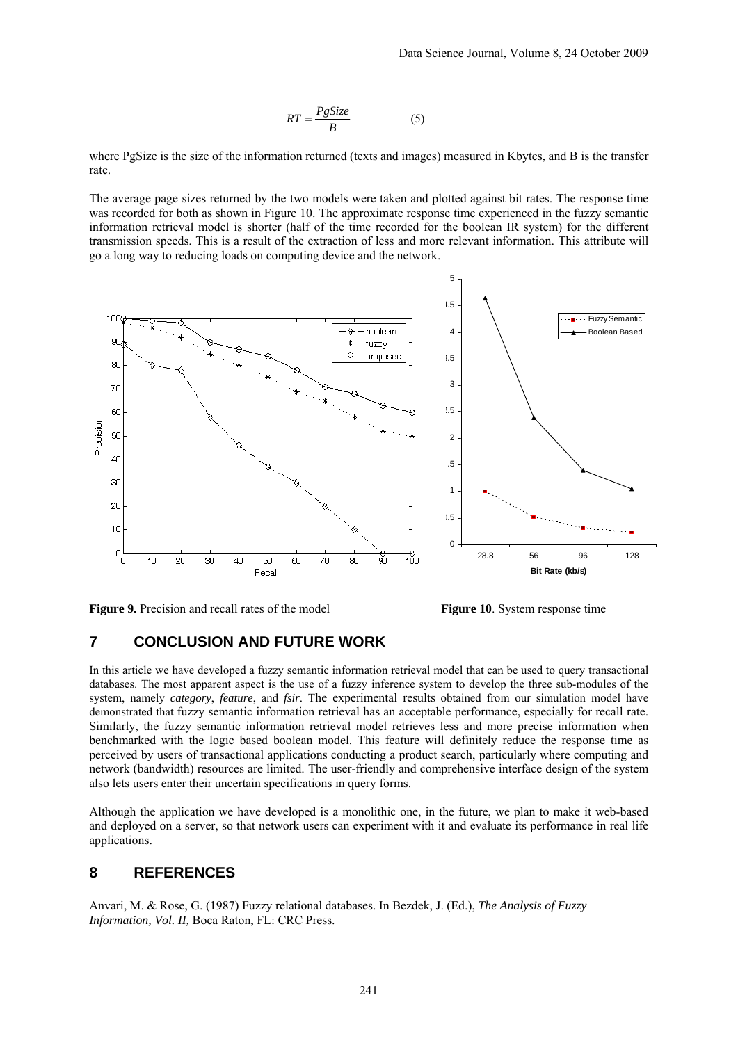$$
RT = \frac{PgSize}{B} \tag{5}
$$

where PgSize is the size of the information returned (texts and images) measured in Kbytes, and B is the transfer rate.

The average page sizes returned by the two models were taken and plotted against bit rates. The response time was recorded for both as shown in Figure 10. The approximate response time experienced in the fuzzy semantic information retrieval model is shorter (half of the time recorded for the boolean IR system) for the different transmission speeds. This is a result of the extraction of less and more relevant information. This attribute will go a long way to reducing loads on computing device and the network.



**Figure 9.** Precision and recall rates of the model **Figure 10**. System response time

### **7 CONCLUSION AND FUTURE WORK**

In this article we have developed a fuzzy semantic information retrieval model that can be used to query transactional databases. The most apparent aspect is the use of a fuzzy inference system to develop the three sub-modules of the system, namely *category*, *feature*, and *fsir*. The experimental results obtained from our simulation model have demonstrated that fuzzy semantic information retrieval has an acceptable performance, especially for recall rate. Similarly, the fuzzy semantic information retrieval model retrieves less and more precise information when benchmarked with the logic based boolean model. This feature will definitely reduce the response time as perceived by users of transactional applications conducting a product search, particularly where computing and network (bandwidth) resources are limited. The user-friendly and comprehensive interface design of the system also lets users enter their uncertain specifications in query forms.

Although the application we have developed is a monolithic one, in the future, we plan to make it web-based and deployed on a server, so that network users can experiment with it and evaluate its performance in real life applications.

### **8 REFERENCES**

Anvari, M. & Rose, G. (1987) Fuzzy relational databases. In Bezdek, J. (Ed.), *The Analysis of Fuzzy Information, Vol. II,* Boca Raton, FL: CRC Press.